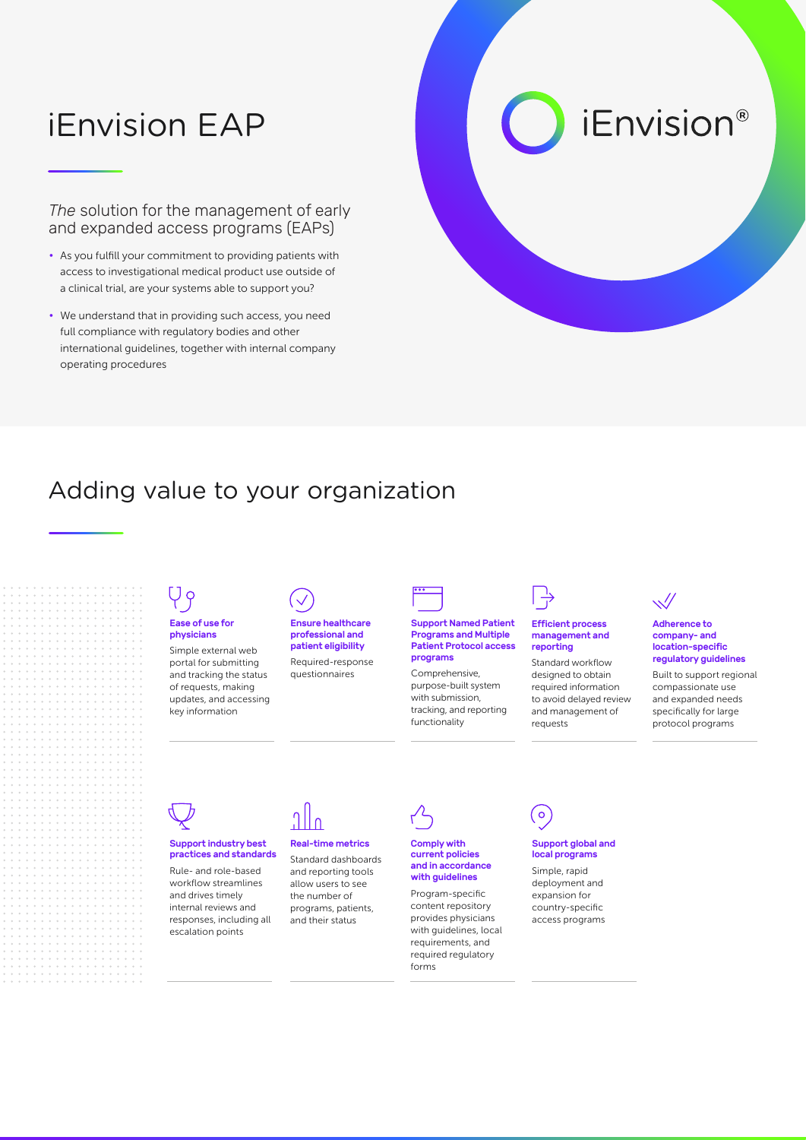# iEnvision EAP

*The* solution for the management of early and expanded access programs (EAPs)

- As you fulfill your commitment to providing patients with access to investigational medical product use outside of a clinical trial, are your systems able to support you?
- We understand that in providing such access, you need full compliance with regulatory bodies and other international guidelines, together with internal company operating procedures

# *iEnvision®*

## Adding value to your organization

### Ease of use for physicians

Simple external web portal for submitting and tracking the status of requests, making updates, and accessing key information



Ensure healthcare professional and patient eligibility Required-response

questionnaires



#### Support Named Patient Programs and Multiple Patient Protocol access programs

Comprehensive, purpose-built system with submission, tracking, and reporting functionality



#### Efficient process management and reporting

Standard workflow designed to obtain required information to avoid delayed review and management of requests



#### Adherence to company- and location-specific regulatory guidelines

Built to support regional compassionate use and expanded needs specifically for large protocol programs

#### Support industry best practices and standards

Rule- and role-based workflow streamlines and drives timely internal reviews and responses, including all escalation points



#### Real-time metrics

Standard dashboards and reporting tools allow users to see the number of programs, patients, and their status

### Comply with current policies

and in accordance with guidelines

Program-specific content repository provides physicians with guidelines, local requirements, and required regulatory forms



#### Support global and local programs

Simple, rapid deployment and expansion for country-specific access programs